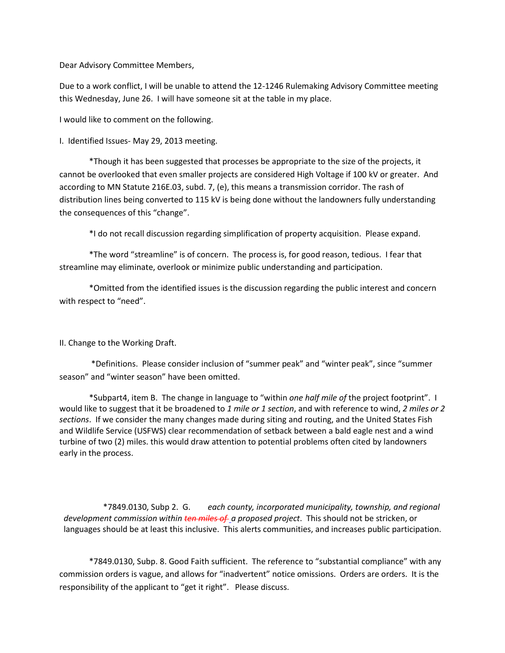Dear Advisory Committee Members,

Due to a work conflict, I will be unable to attend the 12-1246 Rulemaking Advisory Committee meeting this Wednesday, June 26. I will have someone sit at the table in my place.

I would like to comment on the following.

I. Identified Issues- May 29, 2013 meeting.

\*Though it has been suggested that processes be appropriate to the size of the projects, it cannot be overlooked that even smaller projects are considered High Voltage if 100 kV or greater. And according to MN Statute 216E.03, subd. 7, (e), this means a transmission corridor. The rash of distribution lines being converted to 115 kV is being done without the landowners fully understanding the consequences of this "change".

\*I do not recall discussion regarding simplification of property acquisition. Please expand.

\*The word "streamline" is of concern. The process is, for good reason, tedious. I fear that streamline may eliminate, overlook or minimize public understanding and participation.

\*Omitted from the identified issues is the discussion regarding the public interest and concern with respect to "need".

## II. Change to the Working Draft.

\*Definitions. Please consider inclusion of "summer peak" and "winter peak", since "summer season" and "winter season" have been omitted.

\*Subpart4, item B. The change in language to "within *one half mile of* the project footprint". I would like to suggest that it be broadened to *1 mile or 1 section*, and with reference to wind, *2 miles or 2 sections*. If we consider the many changes made during siting and routing, and the United States Fish and Wildlife Service (USFWS) clear recommendation of setback between a bald eagle nest and a wind turbine of two (2) miles. this would draw attention to potential problems often cited by landowners early in the process.

\*7849.0130, Subp 2. G. *each county, incorporated municipality, township, and regional development commission within ten miles of a proposed project*. This should not be stricken, or languages should be at least this inclusive. This alerts communities, and increases public participation.

\*7849.0130, Subp. 8. Good Faith sufficient. The reference to "substantial compliance" with any commission orders is vague, and allows for "inadvertent" notice omissions. Orders are orders. It is the responsibility of the applicant to "get it right". Please discuss.